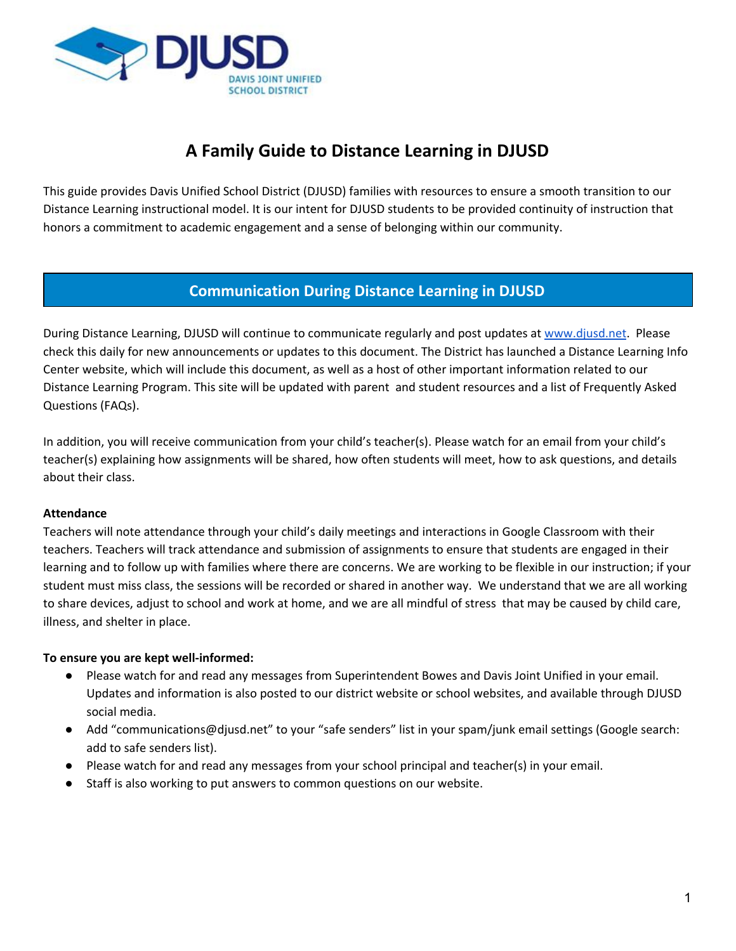

# **A Family Guide to Distance Learning in DJUSD**

This guide provides Davis Unified School District (DJUSD) families with resources to ensure a smooth transition to our Distance Learning instructional model. It is our intent for DJUSD students to be provided continuity of instruction that honors a commitment to academic engagement and a sense of belonging within our community.

### **Communication During Distance Learning in DJUSD**

During Distance Learning, DJUSD will continue to communicate regularly and post updates at [www.djusd.net](http://www.djusd.net/). Please check this daily for new announcements or updates to this document. The District has launched a Distance Learning Info Center website, which will include this document, as well as a host of other important information related to our Distance Learning Program. This site will be updated with parent and student resources and a list of Frequently Asked Questions (FAQs).

In addition, you will receive communication from your child's teacher(s). Please watch for an email from your child's teacher(s) explaining how assignments will be shared, how often students will meet, how to ask questions, and details about their class.

### **Attendance**

Teachers will note attendance through your child's daily meetings and interactions in Google Classroom with their teachers. Teachers will track attendance and submission of assignments to ensure that students are engaged in their learning and to follow up with families where there are concerns. We are working to be flexible in our instruction; if your student must miss class, the sessions will be recorded or shared in another way. We understand that we are all working to share devices, adjust to school and work at home, and we are all mindful of stress that may be caused by child care, illness, and shelter in place.

### **To ensure you are kept well-informed:**

- Please watch for and read any messages from Superintendent Bowes and Davis Joint Unified in your email. Updates and information is also posted to our district website or school websites, and available through DJUSD social media.
- Add "communications@djusd.net" to your "safe senders" list in your spam/junk email settings (Google search: add to safe senders list).
- Please watch for and read any messages from your school principal and teacher(s) in your email.
- Staff is also working to put answers to common questions on our website.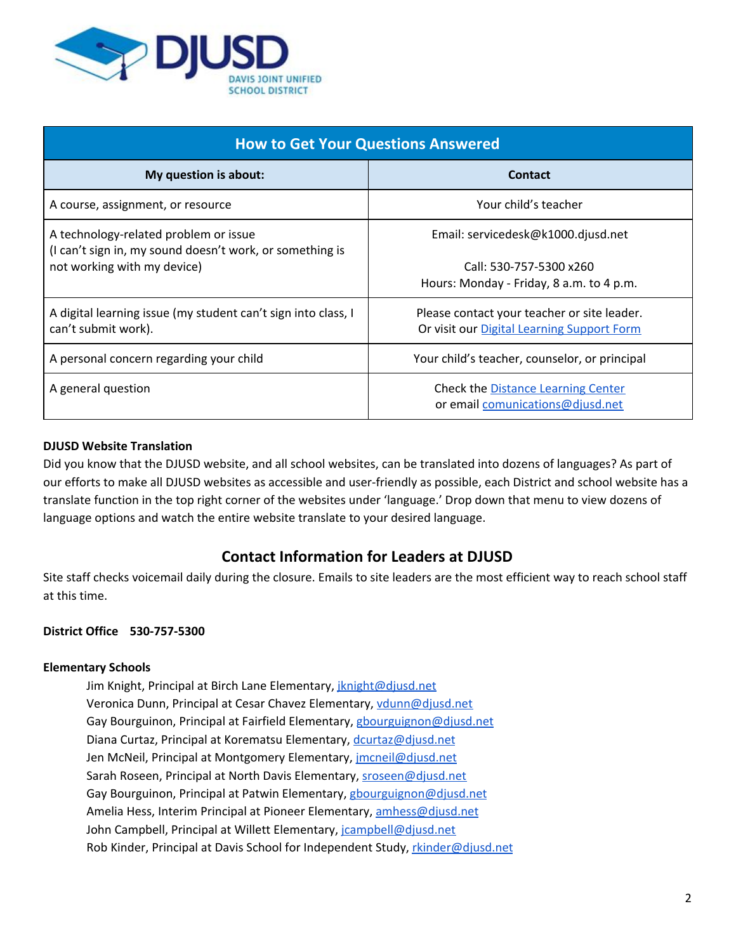

| <b>How to Get Your Questions Answered</b>                                                         |                                                                                           |  |  |
|---------------------------------------------------------------------------------------------------|-------------------------------------------------------------------------------------------|--|--|
| My question is about:                                                                             | <b>Contact</b>                                                                            |  |  |
| A course, assignment, or resource                                                                 | Your child's teacher                                                                      |  |  |
| A technology-related problem or issue<br>(I can't sign in, my sound doesn't work, or something is | Email: servicedesk@k1000.djusd.net                                                        |  |  |
| not working with my device)                                                                       | Call: 530-757-5300 x260                                                                   |  |  |
|                                                                                                   | Hours: Monday - Friday, 8 a.m. to 4 p.m.                                                  |  |  |
| A digital learning issue (my student can't sign into class, I<br>can't submit work).              | Please contact your teacher or site leader.<br>Or visit our Digital Learning Support Form |  |  |
|                                                                                                   |                                                                                           |  |  |
| A personal concern regarding your child                                                           | Your child's teacher, counselor, or principal                                             |  |  |
| A general question                                                                                | <b>Check the Distance Learning Center</b>                                                 |  |  |
|                                                                                                   | or email comunications@djusd.net                                                          |  |  |

### **DJUSD Website Translation**

Did you know that the DJUSD website, and all school websites, can be translated into dozens of languages? As part of our efforts to make all DJUSD websites as accessible and user-friendly as possible, each District and school website has a translate function in the top right corner of the websites under 'language.' Drop down that menu to view dozens of language options and watch the entire website translate to your desired language.

### **Contact Information for Leaders at DJUSD**

Site staff checks voicemail daily during the closure. Emails to site leaders are the most efficient way to reach school staff at this time.

### **District Office 530-757-5300**

### **Elementary Schools**

Jim Knight, Principal at Birch Lane Elementary, *[jknight@djusd.net](mailto:jknight@djusd.net)* Veronica Dunn, Principal at Cesar Chavez Elementary, [vdunn@djusd.net](mailto:vdunn@djusd.net) Gay Bourguinon, Principal at Fairfield Elementary, [gbourguignon@djusd.net](mailto:gbourguignon@djusd.net) Diana Curtaz, Principal at Korematsu Elementary, [dcurtaz@djusd.net](mailto:dcurtaz@djusd.net) Jen McNeil, Principal at Montgomery Elementary, *imcneil@djusd.net* Sarah Roseen, Principal at North Davis Elementary, [sroseen@djusd.net](mailto:sroseen@djusd.net) Gay Bourguinon, Principal at Patwin Elementary, [gbourguignon@djusd.net](mailto:gbourguignon@djusd.net) Amelia Hess, Interim Principal at Pioneer Elementary, [amhess@djusd.net](mailto:amhess@djusd.net) John Campbell, Principal at Willett Elementary, [jcampbell@djusd.net](mailto:jcampbell@djusd.net) Rob Kinder, Principal at Davis School for Independent Study, [rkinder@djusd.net](mailto:rkinder@djusd.net)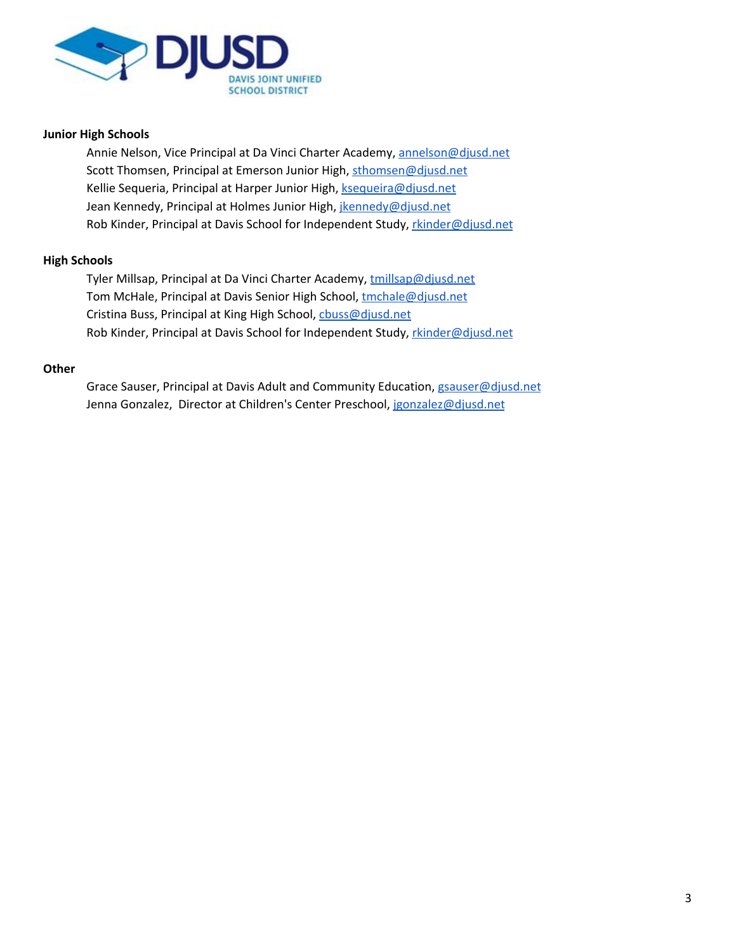

#### **Junior High Schools**

Annie Nelson, Vice Principal at Da Vinci Charter Academy, [annelson@djusd.net](mailto:annelson@djusd.net) Scott Thomsen, Principal at Emerson Junior High, [sthomsen@djusd.net](mailto:sthomsen@djusd.et) Kellie Sequeria, Principal at Harper Junior High, [ksequeira@djusd.net](mailto:ksequeira@djusd.net) Jean Kennedy, Principal at Holmes Junior High, *ikennedy@djusd.net* Rob Kinder, Principal at Davis School for Independent Study, [rkinder@djusd.net](mailto:rkinder@djusd.net)

#### **High Schools**

Tyler Millsap, Principal at Da Vinci Charter Academy, [tmillsap@djusd.net](mailto:tmillsap@djusd.net) Tom McHale, Principal at Davis Senior High School, [tmchale@djusd.net](mailto:tmchale@djusd.net) Cristina Buss, Principal at King High School, chuss@djusd.net Rob Kinder, Principal at Davis School for Independent Study, [rkinder@djusd.net](mailto:rkinder@djusd.net)

#### **Other**

Grace Sauser, Principal at Davis Adult and Community Education, [gsauser@djusd.net](mailto:gsauser@djusd.net) Jenna Gonzalez, Director at Children's Center Preschool, [jgonzalez@djusd.net](mailto:jgonzalez@djusd.net)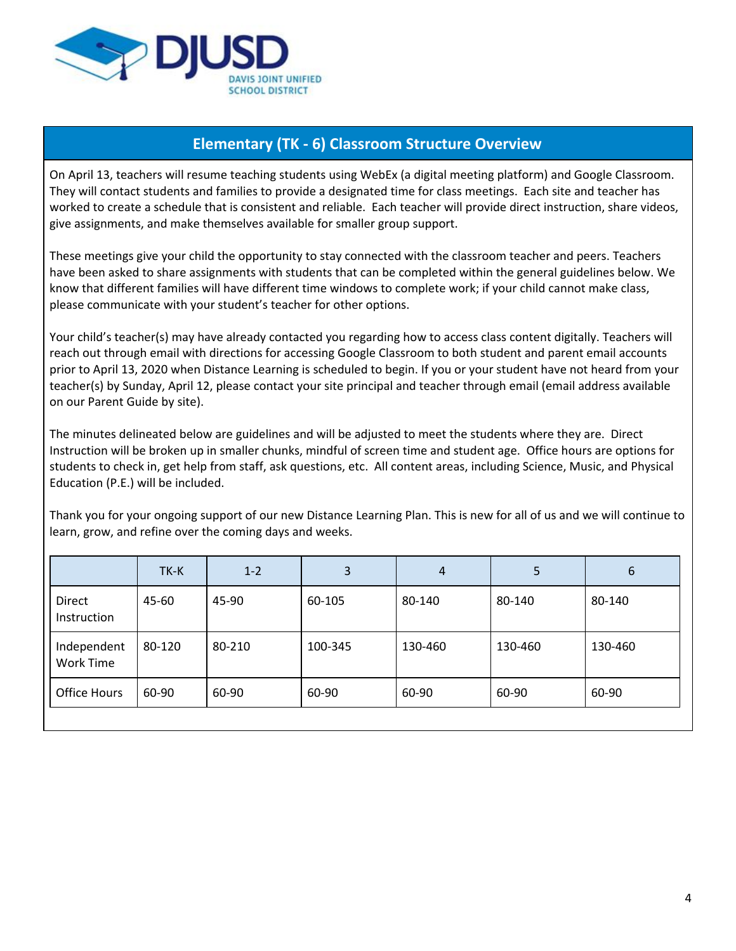

## **Elementary (TK - 6) Classroom Structure Overview**

On April 13, teachers will resume teaching students using WebEx (a digital meeting platform) and Google Classroom. They will contact students and families to provide a designated time for class meetings. Each site and teacher has worked to create a schedule that is consistent and reliable. Each teacher will provide direct instruction, share videos, give assignments, and make themselves available for smaller group support.

These meetings give your child the opportunity to stay connected with the classroom teacher and peers. Teachers have been asked to share assignments with students that can be completed within the general guidelines below. We know that different families will have different time windows to complete work; if your child cannot make class, please communicate with your student's teacher for other options.

Your child's teacher(s) may have already contacted you regarding how to access class content digitally. Teachers will reach out through email with directions for accessing Google Classroom to both student and parent email accounts prior to April 13, 2020 when Distance Learning is scheduled to begin. If you or your student have not heard from your teacher(s) by Sunday, April 12, please contact your site principal and teacher through email (email address available on our Parent Guide by site).

The minutes delineated below are guidelines and will be adjusted to meet the students where they are. Direct Instruction will be broken up in smaller chunks, mindful of screen time and student age. Office hours are options for students to check in, get help from staff, ask questions, etc. All content areas, including Science, Music, and Physical Education (P.E.) will be included.

Thank you for your ongoing support of our new Distance Learning Plan. This is new for all of us and we will continue to learn, grow, and refine over the coming days and weeks.

|                              | TK-K   | $1 - 2$ | 3       | 4       | 5       | 6       |
|------------------------------|--------|---------|---------|---------|---------|---------|
| <b>Direct</b><br>Instruction | 45-60  | 45-90   | 60-105  | 80-140  | 80-140  | 80-140  |
| Independent<br>Work Time     | 80-120 | 80-210  | 100-345 | 130-460 | 130-460 | 130-460 |
| <b>Office Hours</b>          | 60-90  | 60-90   | 60-90   | 60-90   | 60-90   | 60-90   |
|                              |        |         |         |         |         |         |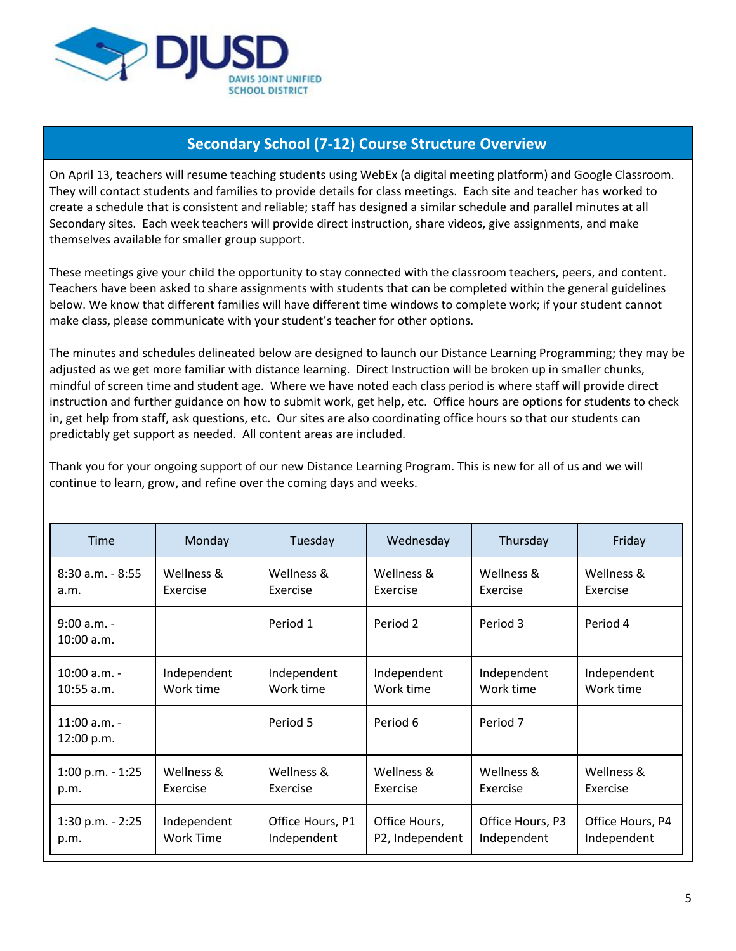

## **Secondary School (7-12) Course Structure Overview**

On April 13, teachers will resume teaching students using WebEx (a digital meeting platform) and Google Classroom. They will contact students and families to provide details for class meetings. Each site and teacher has worked to create a schedule that is consistent and reliable; staff has designed a similar schedule and parallel minutes at all Secondary sites. Each week teachers will provide direct instruction, share videos, give assignments, and make themselves available for smaller group support.

These meetings give your child the opportunity to stay connected with the classroom teachers, peers, and content. Teachers have been asked to share assignments with students that can be completed within the general guidelines below. We know that different families will have different time windows to complete work; if your student cannot make class, please communicate with your student's teacher for other options.

The minutes and schedules delineated below are designed to launch our Distance Learning Programming; they may be adjusted as we get more familiar with distance learning. Direct Instruction will be broken up in smaller chunks, mindful of screen time and student age. Where we have noted each class period is where staff will provide direct instruction and further guidance on how to submit work, get help, etc. Office hours are options for students to check in, get help from staff, ask questions, etc. Our sites are also coordinating office hours so that our students can predictably get support as needed. All content areas are included.

Thank you for your ongoing support of our new Distance Learning Program. This is new for all of us and we will continue to learn, grow, and refine over the coming days and weeks.

| <b>Time</b>                  | Monday           | Tuesday          | Wednesday       | Thursday         | Friday           |
|------------------------------|------------------|------------------|-----------------|------------------|------------------|
| $8:30$ a.m. - $8:55$         | Wellness &       | Wellness &       | Wellness &      | Wellness &       | Wellness &       |
| a.m.                         | Exercise         | Exercise         | Exercise        | Exercise         | Exercise         |
| $9:00 a.m. -$<br>10:00 a.m.  |                  | Period 1         | Period 2        | Period 3         | Period 4         |
| $10:00$ a.m. -               | Independent      | Independent      | Independent     | Independent      | Independent      |
| $10:55$ a.m.                 | Work time        | Work time        | Work time       | Work time        | Work time        |
| $11:00$ a.m. -<br>12:00 p.m. |                  | Period 5         | Period 6        | Period 7         |                  |
| $1:00$ p.m. - $1:25$         | Wellness &       | Wellness &       | Wellness &      | Wellness &       | Wellness &       |
| p.m.                         | Exercise         | Exercise         | Exercise        | Exercise         | Exercise         |
| $1:30$ p.m. - $2:25$         | Independent      | Office Hours, P1 | Office Hours,   | Office Hours, P3 | Office Hours, P4 |
| p.m.                         | <b>Work Time</b> | Independent      | P2, Independent | Independent      | Independent      |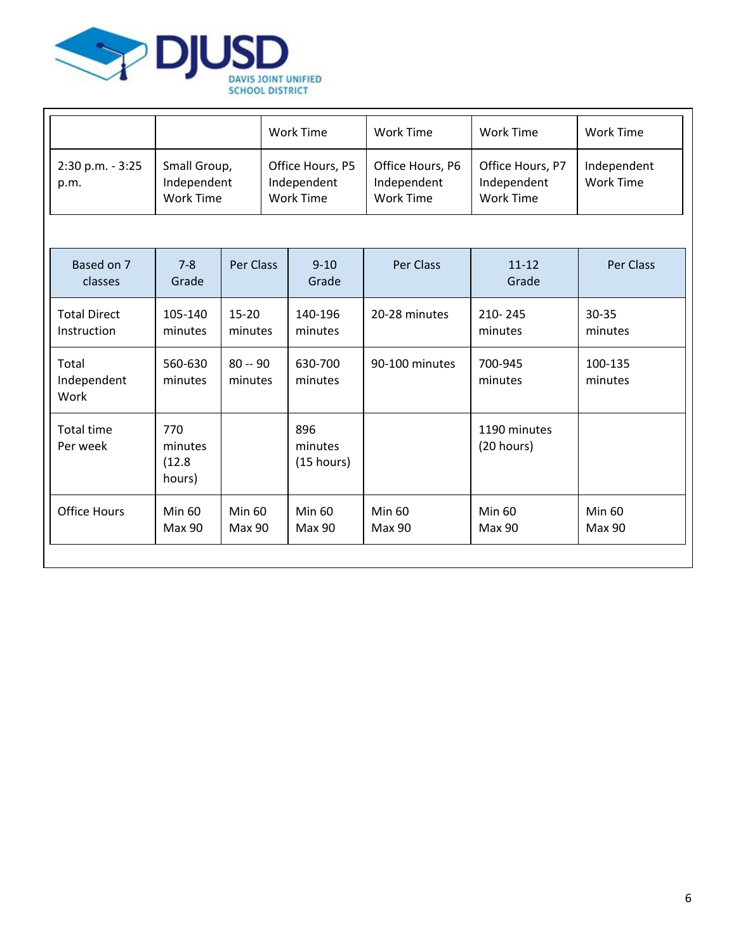

|                              |                                          | Work Time                                    | Work Time                                    | Work Time                                    | Work Time                |
|------------------------------|------------------------------------------|----------------------------------------------|----------------------------------------------|----------------------------------------------|--------------------------|
| $2:30$ p.m. - $3:25$<br>p.m. | Small Group,<br>Independent<br>Work Time | Office Hours, P5<br>Independent<br>Work Time | Office Hours, P6<br>Independent<br>Work Time | Office Hours, P7<br>Independent<br>Work Time | Independent<br>Work Time |

| Based on 7<br>classes              | $7 - 8$<br>Grade                   | Per Class            | $9 - 10$<br>Grade            | Per Class               | $11 - 12$<br>Grade         | Per Class               |
|------------------------------------|------------------------------------|----------------------|------------------------------|-------------------------|----------------------------|-------------------------|
| <b>Total Direct</b><br>Instruction | 105-140<br>minutes                 | $15 - 20$<br>minutes | 140-196<br>minutes           | 20-28 minutes           | 210-245<br>minutes         | $30 - 35$<br>minutes    |
| Total<br>Independent<br>Work       | 560-630<br>minutes                 | $80 - 90$<br>minutes | 630-700<br>minutes           | 90-100 minutes          | 700-945<br>minutes         | 100-135<br>minutes      |
| Total time<br>Per week             | 770<br>minutes<br>(12.8)<br>hours) |                      | 896<br>minutes<br>(15 hours) |                         | 1190 minutes<br>(20 hours) |                         |
| <b>Office Hours</b>                | Min 60<br>Max 90                   | Min 60<br>Max 90     | Min 60<br>Max 90             | <b>Min 60</b><br>Max 90 | <b>Min 60</b><br>Max 90    | <b>Min 60</b><br>Max 90 |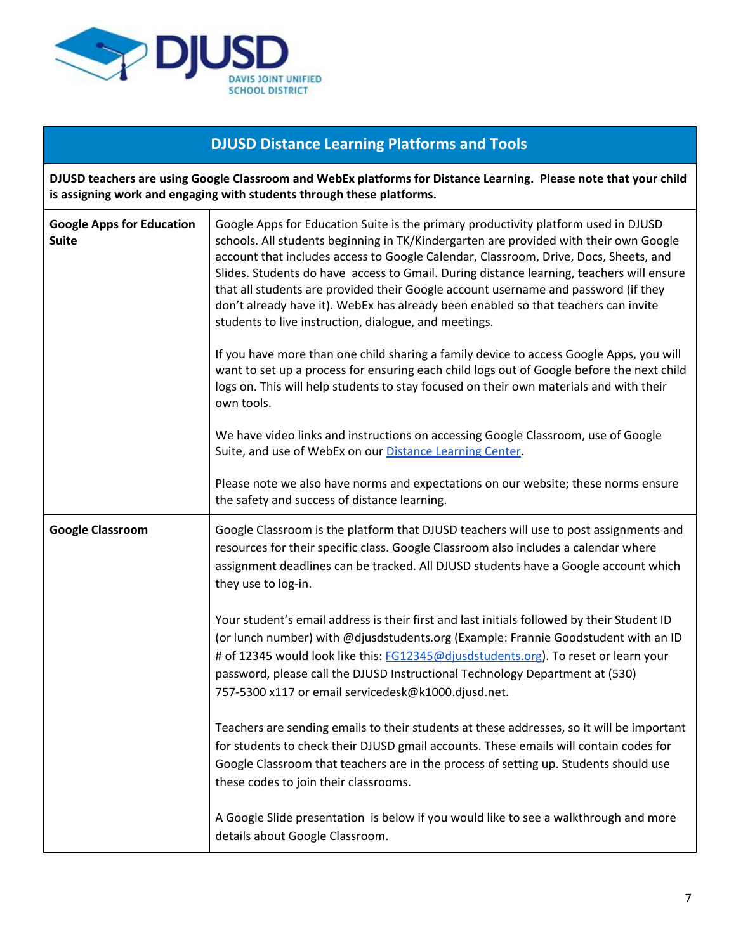

# **DJUSD Distance Learning Platforms and Tools**

DJUSD teachers are using Google Classroom and WebEx platforms for Distance Learning. Please note that your child **is assigning work and engaging with students through these platforms.**

| <b>Google Apps for Education</b><br><b>Suite</b> | Google Apps for Education Suite is the primary productivity platform used in DJUSD<br>schools. All students beginning in TK/Kindergarten are provided with their own Google<br>account that includes access to Google Calendar, Classroom, Drive, Docs, Sheets, and<br>Slides. Students do have access to Gmail. During distance learning, teachers will ensure<br>that all students are provided their Google account username and password (if they<br>don't already have it). WebEx has already been enabled so that teachers can invite<br>students to live instruction, dialogue, and meetings.<br>If you have more than one child sharing a family device to access Google Apps, you will<br>want to set up a process for ensuring each child logs out of Google before the next child<br>logs on. This will help students to stay focused on their own materials and with their<br>own tools.<br>We have video links and instructions on accessing Google Classroom, use of Google<br>Suite, and use of WebEx on our Distance Learning Center.<br>Please note we also have norms and expectations on our website; these norms ensure |
|--------------------------------------------------|---------------------------------------------------------------------------------------------------------------------------------------------------------------------------------------------------------------------------------------------------------------------------------------------------------------------------------------------------------------------------------------------------------------------------------------------------------------------------------------------------------------------------------------------------------------------------------------------------------------------------------------------------------------------------------------------------------------------------------------------------------------------------------------------------------------------------------------------------------------------------------------------------------------------------------------------------------------------------------------------------------------------------------------------------------------------------------------------------------------------------------------------|
|                                                  | the safety and success of distance learning.                                                                                                                                                                                                                                                                                                                                                                                                                                                                                                                                                                                                                                                                                                                                                                                                                                                                                                                                                                                                                                                                                                |
| <b>Google Classroom</b>                          | Google Classroom is the platform that DJUSD teachers will use to post assignments and<br>resources for their specific class. Google Classroom also includes a calendar where<br>assignment deadlines can be tracked. All DJUSD students have a Google account which<br>they use to log-in.                                                                                                                                                                                                                                                                                                                                                                                                                                                                                                                                                                                                                                                                                                                                                                                                                                                  |
|                                                  | Your student's email address is their first and last initials followed by their Student ID<br>(or lunch number) with @djusdstudents.org (Example: Frannie Goodstudent with an ID<br># of 12345 would look like this: FG12345@djusdstudents.org). To reset or learn your<br>password, please call the DJUSD Instructional Technology Department at (530)<br>757-5300 x117 or email servicedesk@k1000.djusd.net.                                                                                                                                                                                                                                                                                                                                                                                                                                                                                                                                                                                                                                                                                                                              |
|                                                  | Teachers are sending emails to their students at these addresses, so it will be important<br>for students to check their DJUSD gmail accounts. These emails will contain codes for<br>Google Classroom that teachers are in the process of setting up. Students should use<br>these codes to join their classrooms.                                                                                                                                                                                                                                                                                                                                                                                                                                                                                                                                                                                                                                                                                                                                                                                                                         |
|                                                  | A Google Slide presentation is below if you would like to see a walkthrough and more<br>details about Google Classroom.                                                                                                                                                                                                                                                                                                                                                                                                                                                                                                                                                                                                                                                                                                                                                                                                                                                                                                                                                                                                                     |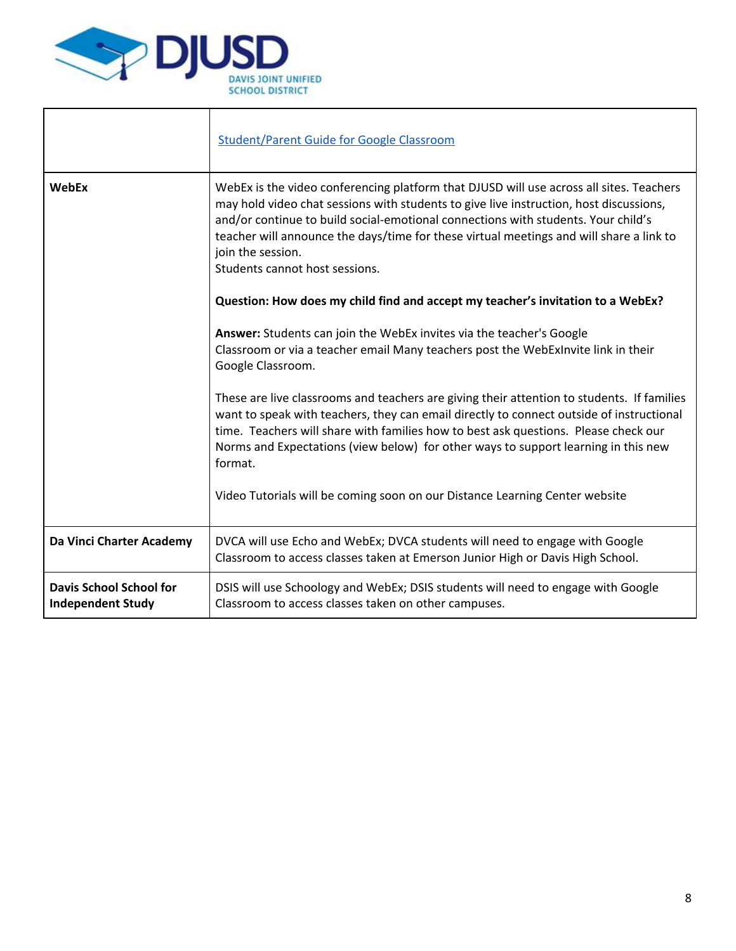

|                                                            | <b>Student/Parent Guide for Google Classroom</b>                                                                                                                                                                                                                                                                                                                                                                         |
|------------------------------------------------------------|--------------------------------------------------------------------------------------------------------------------------------------------------------------------------------------------------------------------------------------------------------------------------------------------------------------------------------------------------------------------------------------------------------------------------|
| <b>WebEx</b>                                               | WebEx is the video conferencing platform that DJUSD will use across all sites. Teachers<br>may hold video chat sessions with students to give live instruction, host discussions,<br>and/or continue to build social-emotional connections with students. Your child's<br>teacher will announce the days/time for these virtual meetings and will share a link to<br>join the session.<br>Students cannot host sessions. |
|                                                            | Question: How does my child find and accept my teacher's invitation to a WebEx?                                                                                                                                                                                                                                                                                                                                          |
|                                                            | Answer: Students can join the WebEx invites via the teacher's Google<br>Classroom or via a teacher email Many teachers post the WebExInvite link in their<br>Google Classroom.                                                                                                                                                                                                                                           |
|                                                            | These are live classrooms and teachers are giving their attention to students. If families<br>want to speak with teachers, they can email directly to connect outside of instructional<br>time. Teachers will share with families how to best ask questions. Please check our<br>Norms and Expectations (view below) for other ways to support learning in this new<br>format.                                           |
|                                                            | Video Tutorials will be coming soon on our Distance Learning Center website                                                                                                                                                                                                                                                                                                                                              |
| Da Vinci Charter Academy                                   | DVCA will use Echo and WebEx; DVCA students will need to engage with Google<br>Classroom to access classes taken at Emerson Junior High or Davis High School.                                                                                                                                                                                                                                                            |
| <b>Davis School School for</b><br><b>Independent Study</b> | DSIS will use Schoology and WebEx; DSIS students will need to engage with Google<br>Classroom to access classes taken on other campuses.                                                                                                                                                                                                                                                                                 |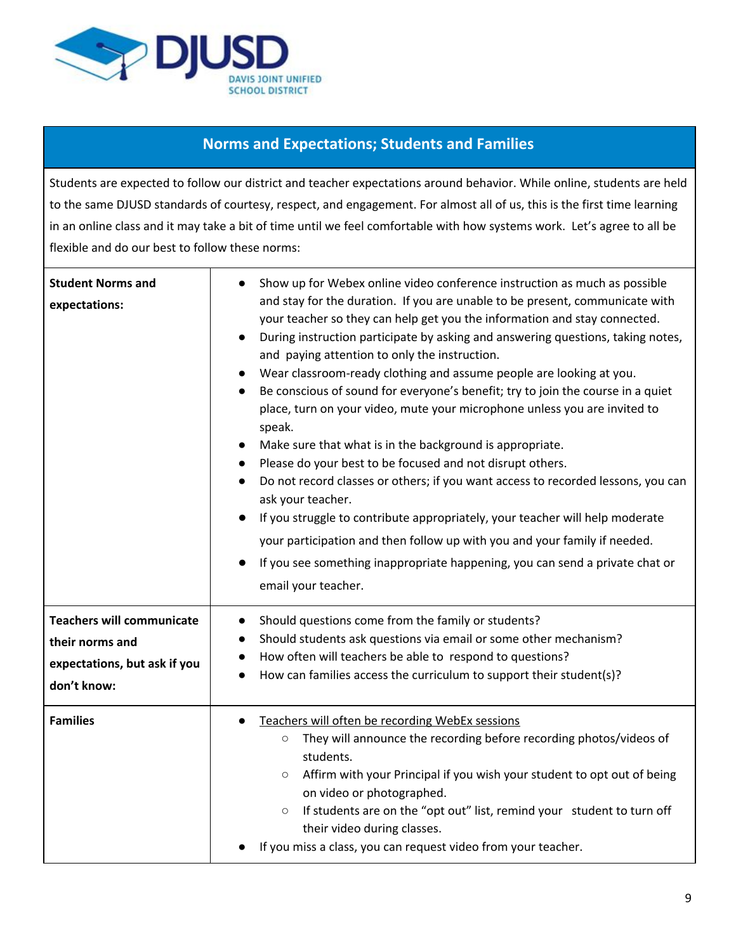

### **Norms and Expectations; Students and Families**

Students are expected to follow our district and teacher expectations around behavior. While online, students are held to the same DJUSD standards of courtesy, respect, and engagement. For almost all of us, this is the first time learning in an online class and it may take a bit of time until we feel comfortable with how systems work. Let's agree to all be flexible and do our best to follow these norms:

| <b>Student Norms and</b><br>expectations:                                                          | Show up for Webex online video conference instruction as much as possible<br>and stay for the duration. If you are unable to be present, communicate with<br>your teacher so they can help get you the information and stay connected.<br>During instruction participate by asking and answering questions, taking notes,<br>and paying attention to only the instruction.<br>Wear classroom-ready clothing and assume people are looking at you.<br>Be conscious of sound for everyone's benefit; try to join the course in a quiet<br>place, turn on your video, mute your microphone unless you are invited to<br>speak.<br>Make sure that what is in the background is appropriate.<br>Please do your best to be focused and not disrupt others.<br>Do not record classes or others; if you want access to recorded lessons, you can<br>ask your teacher.<br>If you struggle to contribute appropriately, your teacher will help moderate<br>your participation and then follow up with you and your family if needed.<br>If you see something inappropriate happening, you can send a private chat or<br>email your teacher. |
|----------------------------------------------------------------------------------------------------|-----------------------------------------------------------------------------------------------------------------------------------------------------------------------------------------------------------------------------------------------------------------------------------------------------------------------------------------------------------------------------------------------------------------------------------------------------------------------------------------------------------------------------------------------------------------------------------------------------------------------------------------------------------------------------------------------------------------------------------------------------------------------------------------------------------------------------------------------------------------------------------------------------------------------------------------------------------------------------------------------------------------------------------------------------------------------------------------------------------------------------------|
| <b>Teachers will communicate</b><br>their norms and<br>expectations, but ask if you<br>don't know: | Should questions come from the family or students?<br>Should students ask questions via email or some other mechanism?<br>How often will teachers be able to respond to questions?<br>How can families access the curriculum to support their student(s)?                                                                                                                                                                                                                                                                                                                                                                                                                                                                                                                                                                                                                                                                                                                                                                                                                                                                         |
| <b>Families</b>                                                                                    | Teachers will often be recording WebEx sessions<br>They will announce the recording before recording photos/videos of<br>$\circ$<br>students.<br>Affirm with your Principal if you wish your student to opt out of being<br>$\circ$<br>on video or photographed.<br>If students are on the "opt out" list, remind your student to turn off<br>$\circ$<br>their video during classes.<br>If you miss a class, you can request video from your teacher.                                                                                                                                                                                                                                                                                                                                                                                                                                                                                                                                                                                                                                                                             |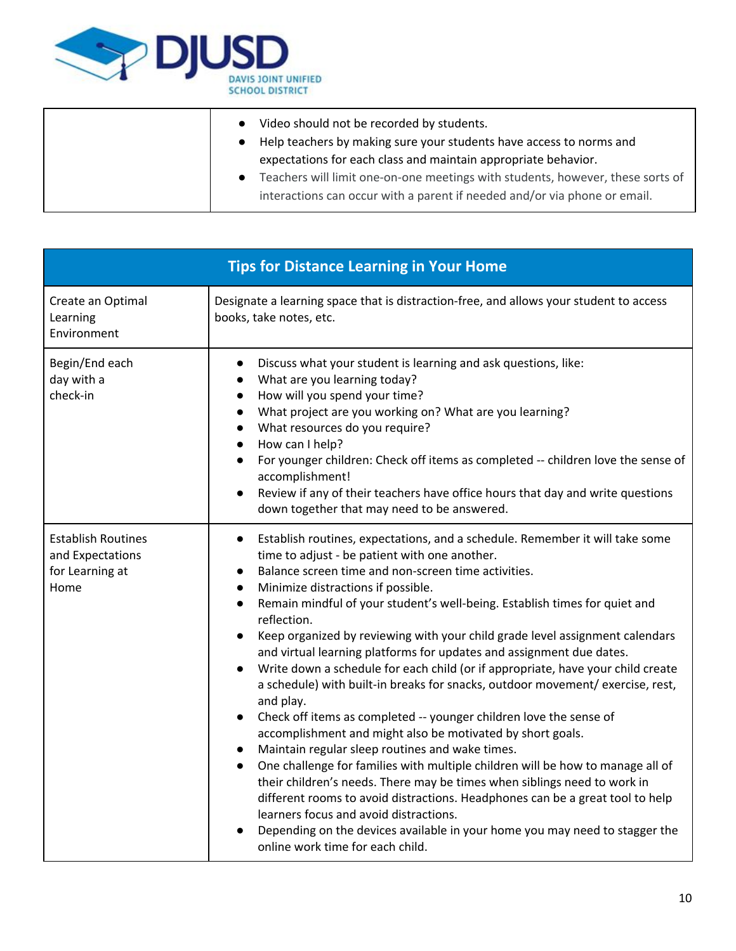

|           | Video should not be recorded by students.<br>Help teachers by making sure your students have access to norms and<br>expectations for each class and maintain appropriate behavior. |
|-----------|------------------------------------------------------------------------------------------------------------------------------------------------------------------------------------|
| $\bullet$ | Teachers will limit one-on-one meetings with students, however, these sorts of<br>interactions can occur with a parent if needed and/or via phone or email.                        |

| <b>Tips for Distance Learning in Your Home</b>                           |                                                                                                                                                                                                                                                                                                                                                                                                                                                                                                                                                                                                                                                                                                                                                                                                                                                                                                                                                                                                                                                                                                                                                                                                                                                                                                                                                                              |  |  |
|--------------------------------------------------------------------------|------------------------------------------------------------------------------------------------------------------------------------------------------------------------------------------------------------------------------------------------------------------------------------------------------------------------------------------------------------------------------------------------------------------------------------------------------------------------------------------------------------------------------------------------------------------------------------------------------------------------------------------------------------------------------------------------------------------------------------------------------------------------------------------------------------------------------------------------------------------------------------------------------------------------------------------------------------------------------------------------------------------------------------------------------------------------------------------------------------------------------------------------------------------------------------------------------------------------------------------------------------------------------------------------------------------------------------------------------------------------------|--|--|
| Create an Optimal<br>Learning<br>Environment                             | Designate a learning space that is distraction-free, and allows your student to access<br>books, take notes, etc.                                                                                                                                                                                                                                                                                                                                                                                                                                                                                                                                                                                                                                                                                                                                                                                                                                                                                                                                                                                                                                                                                                                                                                                                                                                            |  |  |
| Begin/End each<br>day with a<br>check-in                                 | Discuss what your student is learning and ask questions, like:<br>$\bullet$<br>What are you learning today?<br>$\bullet$<br>How will you spend your time?<br>$\bullet$<br>What project are you working on? What are you learning?<br>$\bullet$<br>What resources do you require?<br>$\bullet$<br>How can I help?<br>$\bullet$<br>For younger children: Check off items as completed -- children love the sense of<br>$\bullet$<br>accomplishment!<br>Review if any of their teachers have office hours that day and write questions<br>$\bullet$<br>down together that may need to be answered.                                                                                                                                                                                                                                                                                                                                                                                                                                                                                                                                                                                                                                                                                                                                                                              |  |  |
| <b>Establish Routines</b><br>and Expectations<br>for Learning at<br>Home | Establish routines, expectations, and a schedule. Remember it will take some<br>$\bullet$<br>time to adjust - be patient with one another.<br>Balance screen time and non-screen time activities.<br>Minimize distractions if possible.<br>$\bullet$<br>Remain mindful of your student's well-being. Establish times for quiet and<br>$\bullet$<br>reflection.<br>Keep organized by reviewing with your child grade level assignment calendars<br>$\bullet$<br>and virtual learning platforms for updates and assignment due dates.<br>Write down a schedule for each child (or if appropriate, have your child create<br>$\bullet$<br>a schedule) with built-in breaks for snacks, outdoor movement/ exercise, rest,<br>and play.<br>Check off items as completed -- younger children love the sense of<br>$\bullet$<br>accomplishment and might also be motivated by short goals.<br>Maintain regular sleep routines and wake times.<br>$\bullet$<br>One challenge for families with multiple children will be how to manage all of<br>$\bullet$<br>their children's needs. There may be times when siblings need to work in<br>different rooms to avoid distractions. Headphones can be a great tool to help<br>learners focus and avoid distractions.<br>Depending on the devices available in your home you may need to stagger the<br>online work time for each child. |  |  |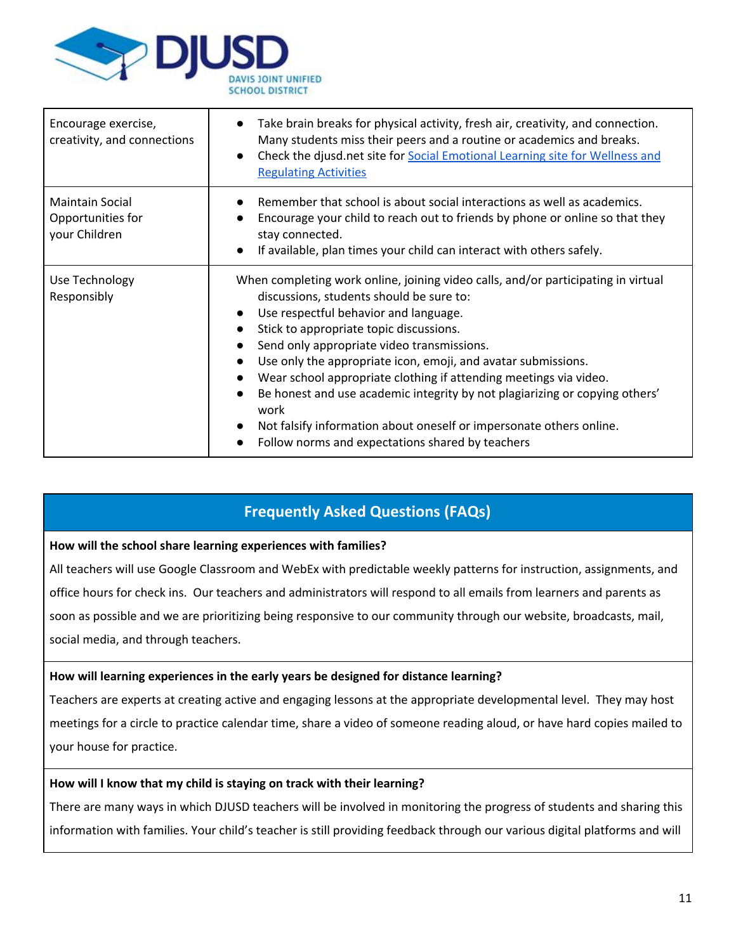

| Encourage exercise,<br>creativity, and connections           | Take brain breaks for physical activity, fresh air, creativity, and connection.<br>Many students miss their peers and a routine or academics and breaks.<br>Check the djusd.net site for Social Emotional Learning site for Wellness and<br>$\bullet$<br><b>Regulating Activities</b>                                                                                                                                                                                                                                                                                                                                                                                                    |
|--------------------------------------------------------------|------------------------------------------------------------------------------------------------------------------------------------------------------------------------------------------------------------------------------------------------------------------------------------------------------------------------------------------------------------------------------------------------------------------------------------------------------------------------------------------------------------------------------------------------------------------------------------------------------------------------------------------------------------------------------------------|
| <b>Maintain Social</b><br>Opportunities for<br>your Children | Remember that school is about social interactions as well as academics.<br>Encourage your child to reach out to friends by phone or online so that they<br>stay connected.<br>If available, plan times your child can interact with others safely.<br>$\bullet$                                                                                                                                                                                                                                                                                                                                                                                                                          |
| Use Technology<br>Responsibly                                | When completing work online, joining video calls, and/or participating in virtual<br>discussions, students should be sure to:<br>Use respectful behavior and language.<br>$\bullet$<br>Stick to appropriate topic discussions.<br>$\bullet$<br>Send only appropriate video transmissions.<br>Use only the appropriate icon, emoji, and avatar submissions.<br>$\bullet$<br>Wear school appropriate clothing if attending meetings via video.<br>$\bullet$<br>Be honest and use academic integrity by not plagiarizing or copying others'<br>$\bullet$<br>work<br>Not falsify information about oneself or impersonate others online.<br>Follow norms and expectations shared by teachers |

## **Frequently Asked Questions (FAQs)**

### **How will the school share learning experiences with families?**

All teachers will use Google Classroom and WebEx with predictable weekly patterns for instruction, assignments, and office hours for check ins. Our teachers and administrators will respond to all emails from learners and parents as soon as possible and we are prioritizing being responsive to our community through our website, broadcasts, mail, social media, and through teachers.

### **How will learning experiences in the early years be designed for distance learning?**

Teachers are experts at creating active and engaging lessons at the appropriate developmental level. They may host meetings for a circle to practice calendar time, share a video of someone reading aloud, or have hard copies mailed to your house for practice.

#### **How will I know that my child is staying on track with their learning?**

There are many ways in which DJUSD teachers will be involved in monitoring the progress of students and sharing this information with families. Your child's teacher is still providing feedback through our various digital platforms and will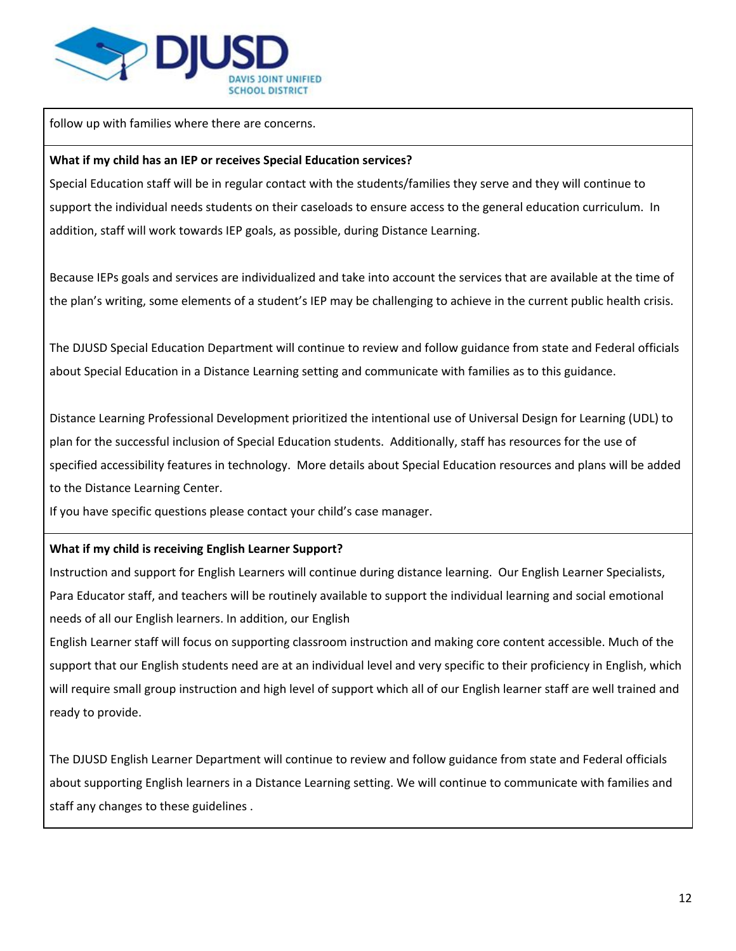

follow up with families where there are concerns.

### **What if my child has an IEP or receives Special Education services?**

Special Education staff will be in regular contact with the students/families they serve and they will continue to support the individual needs students on their caseloads to ensure access to the general education curriculum. In addition, staff will work towards IEP goals, as possible, during Distance Learning.

Because IEPs goals and services are individualized and take into account the services that are available at the time of the plan's writing, some elements of a student's IEP may be challenging to achieve in the current public health crisis.

The DJUSD Special Education Department will continue to review and follow guidance from state and Federal officials about Special Education in a Distance Learning setting and communicate with families as to this guidance.

Distance Learning Professional Development prioritized the intentional use of Universal Design for Learning (UDL) to plan for the successful inclusion of Special Education students. Additionally, staff has resources for the use of specified accessibility features in technology. More details about Special Education resources and plans will be added to the Distance Learning Center.

If you have specific questions please contact your child's case manager.

### **What if my child is receiving English Learner Support?**

Instruction and support for English Learners will continue during distance learning. Our English Learner Specialists, Para Educator staff, and teachers will be routinely available to support the individual learning and social emotional needs of all our English learners. In addition, our English

English Learner staff will focus on supporting classroom instruction and making core content accessible. Much of the support that our English students need are at an individual level and very specific to their proficiency in English, which will require small group instruction and high level of support which all of our English learner staff are well trained and ready to provide.

The DJUSD English Learner Department will continue to review and follow guidance from state and Federal officials about supporting English learners in a Distance Learning setting. We will continue to communicate with families and staff any changes to these guidelines .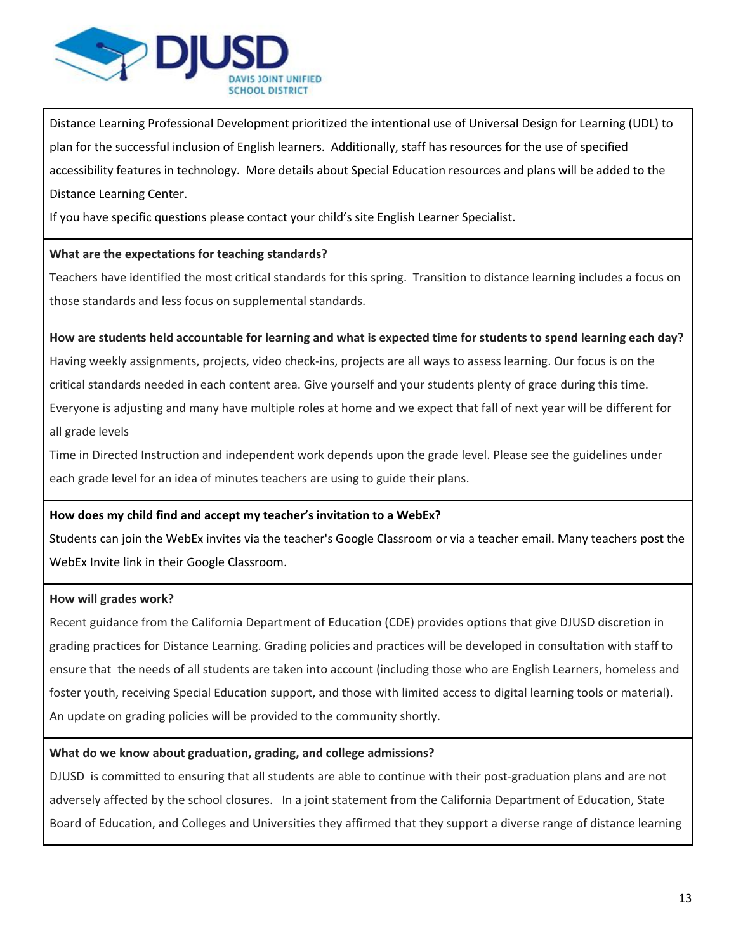

Distance Learning Professional Development prioritized the intentional use of Universal Design for Learning (UDL) to plan for the successful inclusion of English learners. Additionally, staff has resources for the use of specified accessibility features in technology. More details about Special Education resources and plans will be added to the Distance Learning Center.

If you have specific questions please contact your child's site English Learner Specialist.

### **What are the expectations for teaching standards?**

Teachers have identified the most critical standards for this spring. Transition to distance learning includes a focus on those standards and less focus on supplemental standards.

How are students held accountable for learning and what is expected time for students to spend learning each day? Having weekly assignments, projects, video check-ins, projects are all ways to assess learning. Our focus is on the critical standards needed in each content area. Give yourself and your students plenty of grace during this time. Everyone is adjusting and many have multiple roles at home and we expect that fall of next year will be different for all grade levels

Time in Directed Instruction and independent work depends upon the grade level. Please see the guidelines under each grade level for an idea of minutes teachers are using to guide their plans.

### **How does my child find and accept my teacher's invitation to a WebEx?**

Students can join the WebEx invites via the teacher's Google Classroom or via a teacher email. Many teachers post the WebEx Invite link in their Google Classroom.

### **How will grades work?**

Recent guidance from the California Department of Education (CDE) provides options that give DJUSD discretion in grading practices for Distance Learning. Grading policies and practices will be developed in consultation with staff to ensure that the needs of all students are taken into account (including those who are English Learners, homeless and foster youth, receiving Special Education support, and those with limited access to digital learning tools or material). An update on grading policies will be provided to the community shortly.

### **What do we know about graduation, grading, and college admissions?**

DJUSD is committed to ensuring that all students are able to continue with their post-graduation plans and are not adversely affected by the school closures. In a joint statement from the California Department of Education, State Board of Education, and Colleges and Universities they affirmed that they support a diverse range of distance learning